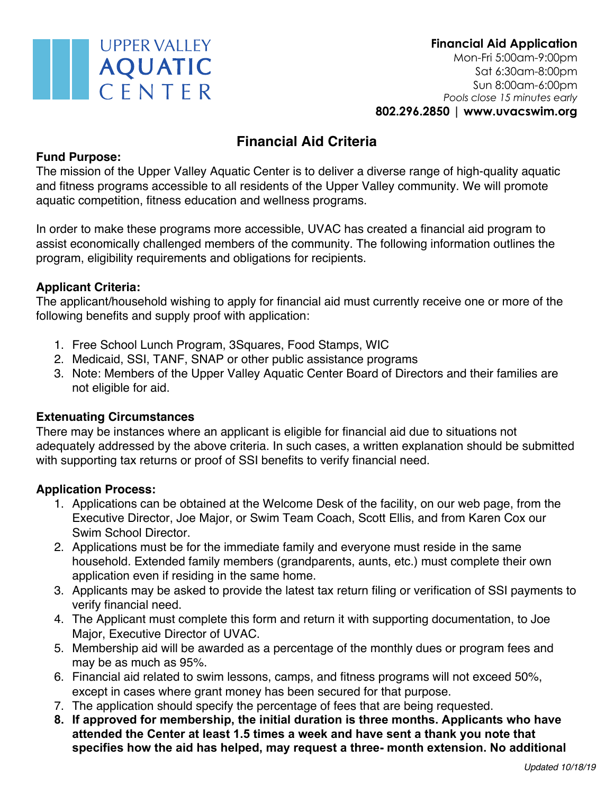

# **Financial Aid Criteria**

# **Fund Purpose:**

The mission of the Upper Valley Aquatic Center is to deliver a diverse range of high-quality aquatic and fitness programs accessible to all residents of the Upper Valley community. We will promote aquatic competition, fitness education and wellness programs.

In order to make these programs more accessible, UVAC has created a financial aid program to assist economically challenged members of the community. The following information outlines the program, eligibility requirements and obligations for recipients.

# **Applicant Criteria:**

The applicant/household wishing to apply for financial aid must currently receive one or more of the following benefits and supply proof with application:

- 1. Free School Lunch Program, 3Squares, Food Stamps, WIC
- 2. Medicaid, SSI, TANF, SNAP or other public assistance programs
- 3. Note: Members of the Upper Valley Aquatic Center Board of Directors and their families are not eligible for aid.

## **Extenuating Circumstances**

There may be instances where an applicant is eligible for financial aid due to situations not adequately addressed by the above criteria. In such cases, a written explanation should be submitted with supporting tax returns or proof of SSI benefits to verify financial need.

## **Application Process:**

- 1. Applications can be obtained at the Welcome Desk of the facility, on our web page, from the Executive Director, Joe Major, or Swim Team Coach, Scott Ellis, and from Karen Cox our Swim School Director.
- 2. Applications must be for the immediate family and everyone must reside in the same household. Extended family members (grandparents, aunts, etc.) must complete their own application even if residing in the same home.
- 3. Applicants may be asked to provide the latest tax return filing or verification of SSI payments to verify financial need.
- 4. The Applicant must complete this form and return it with supporting documentation, to Joe Major, Executive Director of UVAC.
- 5. Membership aid will be awarded as a percentage of the monthly dues or program fees and may be as much as 95%.
- 6. Financial aid related to swim lessons, camps, and fitness programs will not exceed 50%, except in cases where grant money has been secured for that purpose.
- 7. The application should specify the percentage of fees that are being requested.
- **8. If approved for membership, the initial duration is three months. Applicants who have attended the Center at least 1.5 times a week and have sent a thank you note that specifies how the aid has helped, may request a three- month extension. No additional**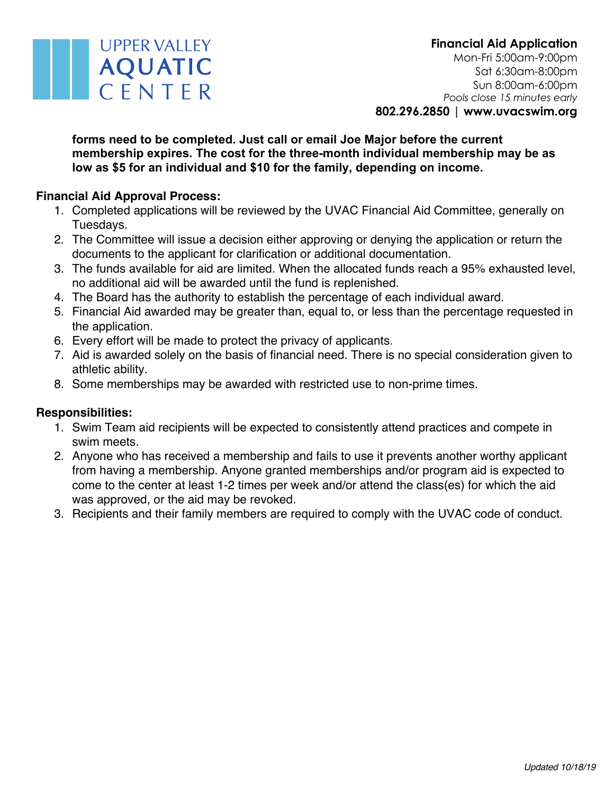### **forms need to be completed. Just call or email Joe Major before the current membership expires. The cost for the three-month individual membership may be as low as \$5 for an individual and \$10 for the family, depending on income.**

# **Financial Aid Approval Process:**

**UPPER VALLEY** 

**AQUATIC** 

CENTER

- 1. Completed applications will be reviewed by the UVAC Financial Aid Committee, generally on Tuesdays.
- 2. The Committee will issue a decision either approving or denying the application or return the documents to the applicant for clarification or additional documentation.
- 3. The funds available for aid are limited. When the allocated funds reach a 95% exhausted level, no additional aid will be awarded until the fund is replenished.
- 4. The Board has the authority to establish the percentage of each individual award.
- 5. Financial Aid awarded may be greater than, equal to, or less than the percentage requested in the application.
- 6. Every effort will be made to protect the privacy of applicants.
- 7. Aid is awarded solely on the basis of financial need. There is no special consideration given to athletic ability.
- 8. Some memberships may be awarded with restricted use to non-prime times.

## **Responsibilities:**

- 1. Swim Team aid recipients will be expected to consistently attend practices and compete in swim meets.
- 2. Anyone who has received a membership and fails to use it prevents another worthy applicant from having a membership. Anyone granted memberships and/or program aid is expected to come to the center at least 1-2 times per week and/or attend the class(es) for which the aid was approved, or the aid may be revoked.
- 3. Recipients and their family members are required to comply with the UVAC code of conduct.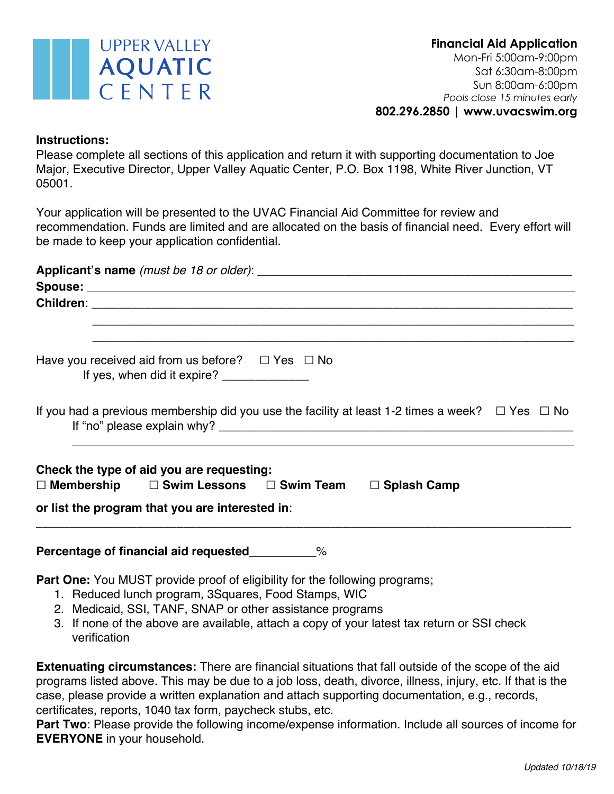

#### **Instructions:**

Please complete all sections of this application and return it with supporting documentation to Joe Major, Executive Director, Upper Valley Aquatic Center, P.O. Box 1198, White River Junction, VT 05001.

Your application will be presented to the UVAC Financial Aid Committee for review and recommendation. Funds are limited and are allocated on the basis of financial need. Every effort will be made to keep your application confidential.

| Have you received aid from us before? $\Box$ Yes $\Box$ No<br>If yes, when did it expire? ________________                                                                                   |                                                                                                           |  |  |  |  |
|----------------------------------------------------------------------------------------------------------------------------------------------------------------------------------------------|-----------------------------------------------------------------------------------------------------------|--|--|--|--|
|                                                                                                                                                                                              | If you had a previous membership did you use the facility at least 1-2 times a week? $\Box$ Yes $\Box$ No |  |  |  |  |
| Check the type of aid you are requesting:<br>$\Box$ Membership $\Box$ Swim Lessons $\Box$ Swim Team $\Box$ Splash Camp                                                                       |                                                                                                           |  |  |  |  |
| or list the program that you are interested in:                                                                                                                                              |                                                                                                           |  |  |  |  |
| Percentage of financial aid requested_________%                                                                                                                                              |                                                                                                           |  |  |  |  |
| Part One: You MUST provide proof of eligibility for the following programs;<br>1. Reduced lunch program, 3Squares, Food Stamps, WIC<br>2 Medicaid SSL TANE SNAP or other assistance programs |                                                                                                           |  |  |  |  |

- icaid, SSI, TANF, SNAP or other assistance programs
- 3. If none of the above are available, attach a copy of your latest tax return or SSI check verification

**Extenuating circumstances:** There are financial situations that fall outside of the scope of the aid programs listed above. This may be due to a job loss, death, divorce, illness, injury, etc. If that is the case, please provide a written explanation and attach supporting documentation, e.g., records, certificates, reports, 1040 tax form, paycheck stubs, etc.

**Part Two**: Please provide the following income/expense information. Include all sources of income for **EVERYONE** in your household.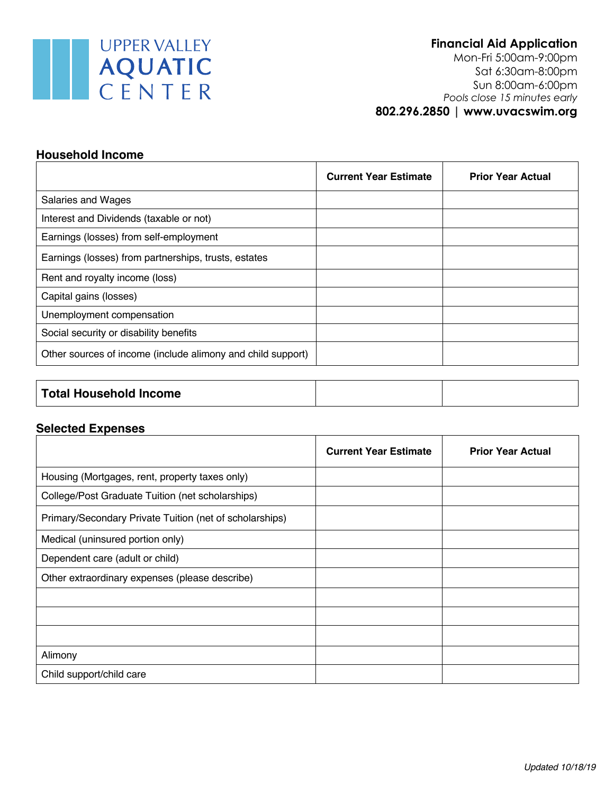

**Financial Aid Application** Mon-Fri 5:00am-9:00pm

 Sat 6:30am-8:00pm Sun 8:00am-6:00pm *Pools close 15 minutes early* **802.296.2850 | www.uvacswim.org**

#### **Household Income**

| <b>Current Year Estimate</b> | <b>Prior Year Actual</b> |
|------------------------------|--------------------------|
|                              |                          |
|                              |                          |
|                              |                          |
|                              |                          |
|                              |                          |
|                              |                          |
|                              |                          |
|                              |                          |
|                              |                          |
|                              |                          |

| Total Household Income |  |  |
|------------------------|--|--|
|------------------------|--|--|

### **Selected Expenses**

|                                                         | <b>Current Year Estimate</b> | <b>Prior Year Actual</b> |
|---------------------------------------------------------|------------------------------|--------------------------|
| Housing (Mortgages, rent, property taxes only)          |                              |                          |
| College/Post Graduate Tuition (net scholarships)        |                              |                          |
| Primary/Secondary Private Tuition (net of scholarships) |                              |                          |
| Medical (uninsured portion only)                        |                              |                          |
| Dependent care (adult or child)                         |                              |                          |
| Other extraordinary expenses (please describe)          |                              |                          |
|                                                         |                              |                          |
|                                                         |                              |                          |
|                                                         |                              |                          |
| Alimony                                                 |                              |                          |
| Child support/child care                                |                              |                          |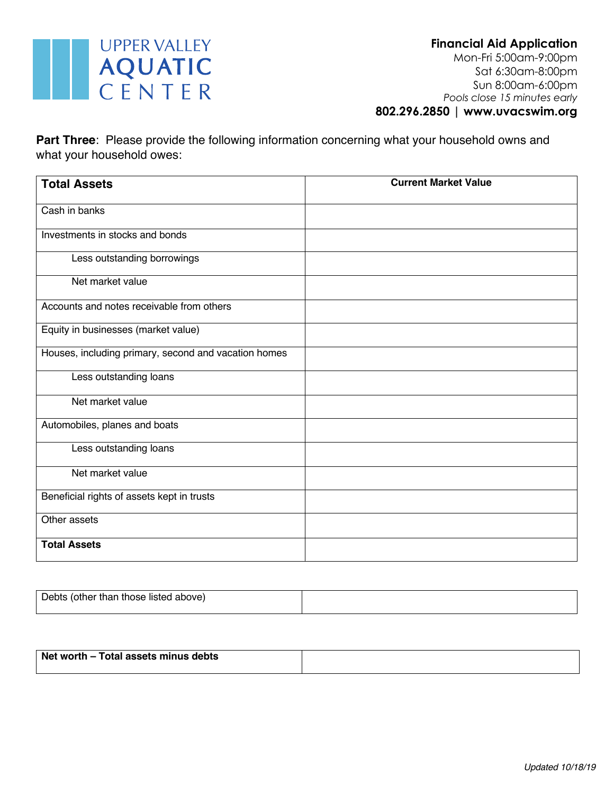

**Part Three**: Please provide the following information concerning what your household owns and what your household owes:

| <b>Total Assets</b>                                  | <b>Current Market Value</b> |
|------------------------------------------------------|-----------------------------|
| Cash in banks                                        |                             |
| Investments in stocks and bonds                      |                             |
| Less outstanding borrowings                          |                             |
| Net market value                                     |                             |
| Accounts and notes receivable from others            |                             |
| Equity in businesses (market value)                  |                             |
| Houses, including primary, second and vacation homes |                             |
| Less outstanding loans                               |                             |
| Net market value                                     |                             |
| Automobiles, planes and boats                        |                             |
| Less outstanding loans                               |                             |
| Net market value                                     |                             |
| Beneficial rights of assets kept in trusts           |                             |
| Other assets                                         |                             |
| <b>Total Assets</b>                                  |                             |

| Debts (other than those listed above) |  |
|---------------------------------------|--|
|                                       |  |

| Net worth – Total assets minus debts |  |
|--------------------------------------|--|
|                                      |  |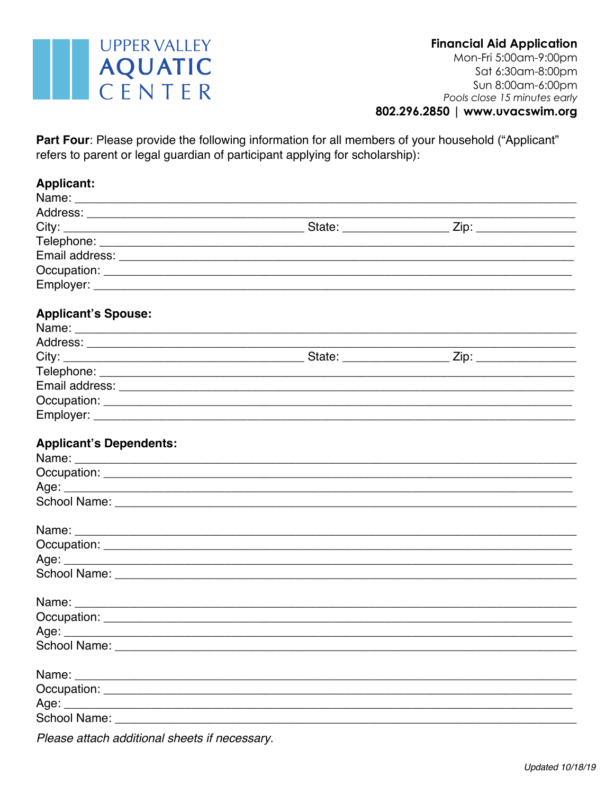

Part Four: Please provide the following information for all members of your household ("Applicant" refers to parent or legal guardian of participant applying for scholarship):

| <b>Applicant:</b>                                                                                                                                                                                                              |  |  |
|--------------------------------------------------------------------------------------------------------------------------------------------------------------------------------------------------------------------------------|--|--|
|                                                                                                                                                                                                                                |  |  |
|                                                                                                                                                                                                                                |  |  |
|                                                                                                                                                                                                                                |  |  |
|                                                                                                                                                                                                                                |  |  |
|                                                                                                                                                                                                                                |  |  |
|                                                                                                                                                                                                                                |  |  |
|                                                                                                                                                                                                                                |  |  |
| <b>Applicant's Spouse:</b>                                                                                                                                                                                                     |  |  |
|                                                                                                                                                                                                                                |  |  |
|                                                                                                                                                                                                                                |  |  |
|                                                                                                                                                                                                                                |  |  |
|                                                                                                                                                                                                                                |  |  |
|                                                                                                                                                                                                                                |  |  |
|                                                                                                                                                                                                                                |  |  |
|                                                                                                                                                                                                                                |  |  |
| <b>Applicant's Dependents:</b>                                                                                                                                                                                                 |  |  |
|                                                                                                                                                                                                                                |  |  |
|                                                                                                                                                                                                                                |  |  |
|                                                                                                                                                                                                                                |  |  |
|                                                                                                                                                                                                                                |  |  |
|                                                                                                                                                                                                                                |  |  |
|                                                                                                                                                                                                                                |  |  |
|                                                                                                                                                                                                                                |  |  |
|                                                                                                                                                                                                                                |  |  |
|                                                                                                                                                                                                                                |  |  |
| Age: $\_\_$                                                                                                                                                                                                                    |  |  |
| School Name: Name: Name and School Name and School Name and School Name and School Inc.                                                                                                                                        |  |  |
|                                                                                                                                                                                                                                |  |  |
| Occupation: New York Street, New York Street, New York Street, New York Street, New York Street, New York Street, New York Street, New York Street, New York Street, New York Street, New York Street, New York Street, New Yo |  |  |
|                                                                                                                                                                                                                                |  |  |
|                                                                                                                                                                                                                                |  |  |
|                                                                                                                                                                                                                                |  |  |

Please attach additional sheets if necessary.